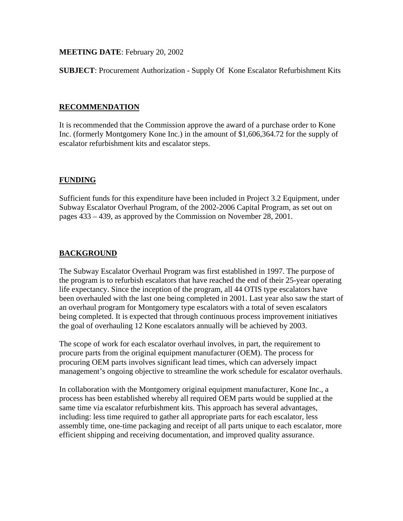## **MEETING DATE**: February 20, 2002

**SUBJECT**: Procurement Authorization - Supply Of Kone Escalator Refurbishment Kits

## **RECOMMENDATION**

It is recommended that the Commission approve the award of a purchase order to Kone Inc. (formerly Montgomery Kone Inc.) in the amount of \$1,606,364.72 for the supply of escalator refurbishment kits and escalator steps.

## **FUNDING**

Sufficient funds for this expenditure have been included in Project 3.2 Equipment, under Subway Escalator Overhaul Program, of the 2002-2006 Capital Program, as set out on pages 433 – 439, as approved by the Commission on November 28, 2001.

## **BACKGROUND**

The Subway Escalator Overhaul Program was first established in 1997. The purpose of the program is to refurbish escalators that have reached the end of their 25-year operating life expectancy. Since the inception of the program, all 44 OTIS type escalators have been overhauled with the last one being completed in 2001. Last year also saw the start of an overhaul program for Montgomery type escalators with a total of seven escalators being completed. It is expected that through continuous process improvement initiatives the goal of overhauling 12 Kone escalators annually will be achieved by 2003.

The scope of work for each escalator overhaul involves, in part, the requirement to procure parts from the original equipment manufacturer (OEM). The process for procuring OEM parts involves significant lead times, which can adversely impact management's ongoing objective to streamline the work schedule for escalator overhauls.

In collaboration with the Montgomery original equipment manufacturer, Kone Inc., a process has been established whereby all required OEM parts would be supplied at the same time via escalator refurbishment kits. This approach has several advantages, including: less time required to gather all appropriate parts for each escalator, less assembly time, one-time packaging and receipt of all parts unique to each escalator, more efficient shipping and receiving documentation, and improved quality assurance.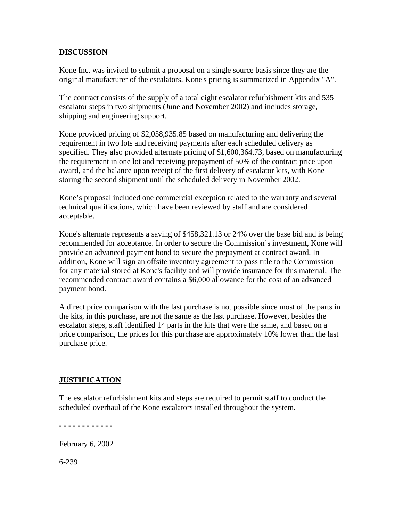## **DISCUSSION**

Kone Inc. was invited to submit a proposal on a single source basis since they are the original manufacturer of the escalators. Kone's pricing is summarized in Appendix "A".

The contract consists of the supply of a total eight escalator refurbishment kits and 535 escalator steps in two shipments (June and November 2002) and includes storage, shipping and engineering support.

Kone provided pricing of \$2,058,935.85 based on manufacturing and delivering the requirement in two lots and receiving payments after each scheduled delivery as specified. They also provided alternate pricing of \$1,600,364.73, based on manufacturing the requirement in one lot and receiving prepayment of 50% of the contract price upon award, and the balance upon receipt of the first delivery of escalator kits, with Kone storing the second shipment until the scheduled delivery in November 2002.

Kone's proposal included one commercial exception related to the warranty and several technical qualifications, which have been reviewed by staff and are considered acceptable.

Kone's alternate represents a saving of \$458,321.13 or 24% over the base bid and is being recommended for acceptance. In order to secure the Commission's investment, Kone will provide an advanced payment bond to secure the prepayment at contract award. In addition, Kone will sign an offsite inventory agreement to pass title to the Commission for any material stored at Kone's facility and will provide insurance for this material. The recommended contract award contains a \$6,000 allowance for the cost of an advanced payment bond.

A direct price comparison with the last purchase is not possible since most of the parts in the kits, in this purchase, are not the same as the last purchase. However, besides the escalator steps, staff identified 14 parts in the kits that were the same, and based on a price comparison, the prices for this purchase are approximately 10% lower than the last purchase price.

## **JUSTIFICATION**

The escalator refurbishment kits and steps are required to permit staff to conduct the scheduled overhaul of the Kone escalators installed throughout the system.

- - - - - - - - - - - -

February 6, 2002

6-239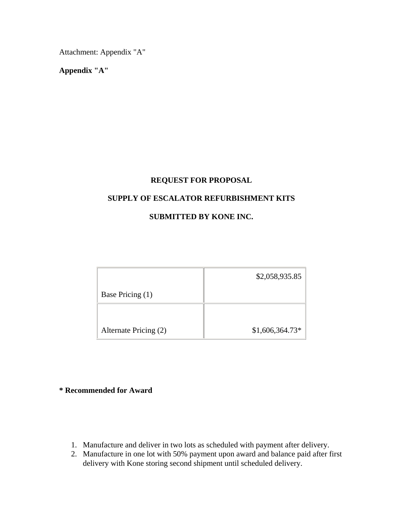Attachment: Appendix "A"

**Appendix "A"** 

## **REQUEST FOR PROPOSAL**

## **SUPPLY OF ESCALATOR REFURBISHMENT KITS**

# **SUBMITTED BY KONE INC.**

|                       | \$2,058,935.85   |
|-----------------------|------------------|
| Base Pricing (1)      |                  |
|                       |                  |
| Alternate Pricing (2) | $$1,606,364.73*$ |

## **\* Recommended for Award**

- 1. Manufacture and deliver in two lots as scheduled with payment after delivery.
- 2. Manufacture in one lot with 50% payment upon award and balance paid after first delivery with Kone storing second shipment until scheduled delivery.